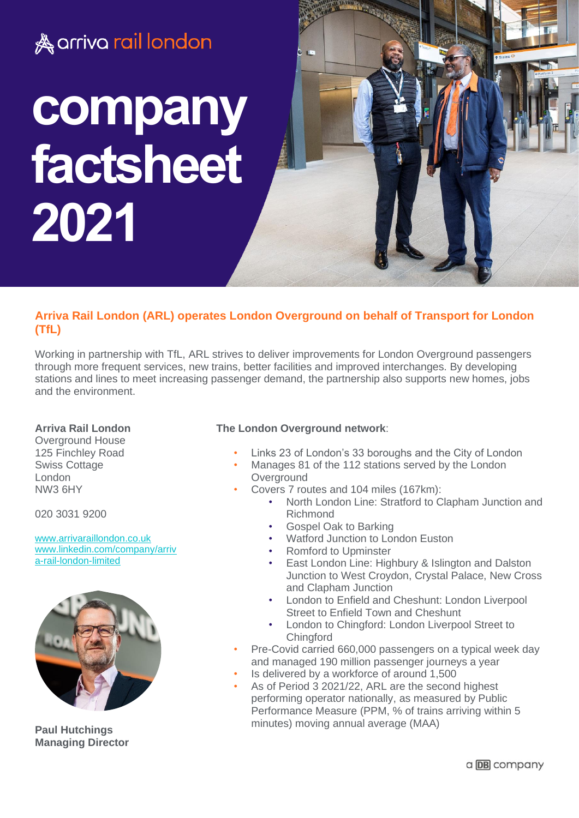

# **Arriva Rail London (ARL) operates London Overground on behalf of Transport for London (TfL)**

Working in partnership with TfL, ARL strives to deliver improvements for London Overground passengers through more frequent services, new trains, better facilities and improved interchanges. By developing stations and lines to meet increasing passenger demand, the partnership also supports new homes, jobs and the environment.

# **Arriva Rail London**

Overground House 125 Finchley Road Swiss Cottage London NW3 6HY

020 3031 9200

[www.arrivaraillondon.co.uk](http://www.arrivaraillondon.co.uk/) [www.linkedin.com/company/arriv](file://///lo-nas01/users/CorinneC/Windows/Desktop/www.linkedin.com/company/arriva-rail-london-limited) [a-rail-london-limited](file://///lo-nas01/users/CorinneC/Windows/Desktop/www.linkedin.com/company/arriva-rail-london-limited)



**Paul Hutchings Managing Director** 

# **The London Overground network**:

- Links 23 of London's 33 boroughs and the City of London
- Manages 81 of the 112 stations served by the London **Overground**
- Covers 7 routes and 104 miles (167km):
	- North London Line: Stratford to Clapham Junction and Richmond
	- Gospel Oak to Barking
	- Watford Junction to London Euston
	- Romford to Upminster
	- East London Line: Highbury & Islington and Dalston Junction to West Croydon, Crystal Palace, New Cross and Clapham Junction
	- London to Enfield and Cheshunt: London Liverpool Street to Enfield Town and Cheshunt
	- London to Chingford: London Liverpool Street to **Chingford**
- Pre-Covid carried 660,000 passengers on a typical week day and managed 190 million passenger journeys a year
- Is delivered by a workforce of around 1,500
- As of Period 3 2021/22, ARL are the second highest performing operator nationally, as measured by Public Performance Measure (PPM, % of trains arriving within 5 minutes) moving annual average (MAA)